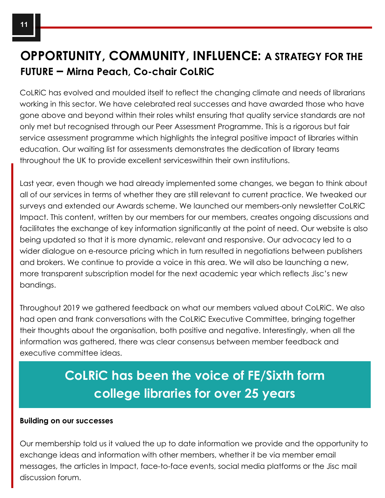## **OPPORTUNITY, COMMUNITY, INFLUENCE: A STRATEGY FOR THE FUTURE – Mirna Peach, Co-chair CoLRiC**

CoLRiC has evolved and moulded itself to reflect the changing climate and needs of librarians working in this sector. We have celebrated real successes and have awarded those who have gone above and beyond within their roles whilst ensuring that quality service standards are not only met but recognised through our Peer Assessment Programme. This is a rigorous but fair service assessment programme which highlights the integral positive impact of libraries within education. Our waiting list for assessments demonstrates the dedication of library teams throughout the UK to provide excellent serviceswithin their own institutions.

Last year, even though we had already implemented some changes, we began to think about all of our services in terms of whether they are still relevant to current practice. We tweaked our surveys and extended our Awards scheme. We launched our members-only newsletter CoLRiC Impact. This content, written by our members for our members, creates ongoing discussions and facilitates the exchange of key information significantly at the point of need. Our website is also being updated so that it is more dynamic, relevant and responsive. Our advocacy led to a wider dialogue on e-resource pricing which in turn resulted in negotiations between publishers and brokers. We continue to provide a voice in this area. We will also be launching a new, more transparent subscription model for the next academic year which reflects Jisc's new bandings.

Throughout 2019 we gathered feedback on what our members valued about CoLRiC. We also had open and frank conversations with the CoLRiC Executive Committee, bringing together their thoughts about the organisation, both positive and negative. Interestingly, when all the information was gathered, there was clear consensus between member feedback and executive committee ideas.

# **CoLRiC has been the voice of FE/Sixth form college libraries for over 25 years**

#### **Building on our successes**

Our membership told us it valued the up to date information we provide and the opportunity to exchange ideas and information with other members, whether it be via member email messages, the articles in Impact, face-to-face events, social media platforms or the Jisc mail discussion forum.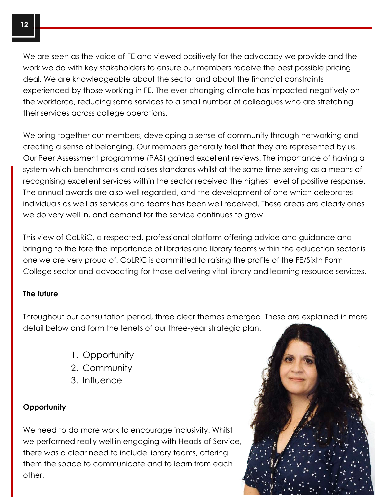We are seen as the voice of FE and viewed positively for the advocacy we provide and the work we do with key stakeholders to ensure our members receive the best possible pricing deal. We are knowledgeable about the sector and about the financial constraints experienced by those working in FE. The ever-changing climate has impacted negatively on the workforce, reducing some services to a small number of colleagues who are stretching their services across college operations.

We bring together our members, developing a sense of community through networking and creating a sense of belonging. Our members generally feel that they are represented by us. Our Peer Assessment programme (PAS) gained excellent reviews. The importance of having a system which benchmarks and raises standards whilst at the same time serving as a means of recognising excellent services within the sector received the highest level of positive response. The annual awards are also well regarded, and the development of one which celebrates individuals as well as services and teams has been well received. These areas are clearly ones we do very well in, and demand for the service continues to grow.

This view of CoLRiC, a respected, professional platform offering advice and guidance and bringing to the fore the importance of libraries and library teams within the education sector is one we are very proud of. CoLRiC is committed to raising the profile of the FE/Sixth Form College sector and advocating for those delivering vital library and learning resource services.

#### **The future**

Throughout our consultation period, three clear themes emerged. These are explained in more detail below and form the tenets of our three-year strategic plan.

- 1. Opportunity
- 2. Community
- 3. Influence

### **Opportunity**

We need to do more work to encourage inclusivity. Whilst we performed really well in engaging with Heads of Service, there was a clear need to include library teams, offering them the space to communicate and to learn from each other.